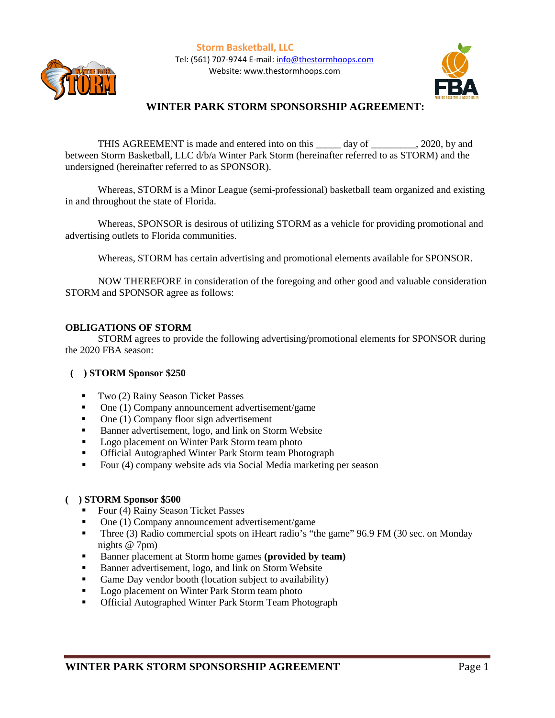**Storm Basketball, LLC** Tel: (561) 707-9744 E-mail: [info@thestormhoops.com](mailto:info@thestormhoops.com) Website: www.thestormhoops.com



# **WINTER PARK STORM SPONSORSHIP AGREEMENT:**

THIS AGREEMENT is made and entered into on this \_\_\_\_\_ day of \_\_\_\_\_\_\_\_\_, 2020, by and between Storm Basketball, LLC d/b/a Winter Park Storm (hereinafter referred to as STORM) and the undersigned (hereinafter referred to as SPONSOR).

Whereas, STORM is a Minor League (semi-professional) basketball team organized and existing in and throughout the state of Florida.

Whereas, SPONSOR is desirous of utilizing STORM as a vehicle for providing promotional and advertising outlets to Florida communities.

Whereas, STORM has certain advertising and promotional elements available for SPONSOR.

NOW THEREFORE in consideration of the foregoing and other good and valuable consideration STORM and SPONSOR agree as follows:

## **OBLIGATIONS OF STORM**

STORM agrees to provide the following advertising/promotional elements for SPONSOR during the 2020 FBA season:

## **( ) STORM Sponsor \$250**

- Two (2) Rainy Season Ticket Passes
- One (1) Company announcement advertisement/game
- One (1) Company floor sign advertisement
- Banner advertisement, logo, and link on Storm Website
- **Logo placement on Winter Park Storm team photo**
- **Official Autographed Winter Park Storm team Photograph**
- Four (4) company website ads via Social Media marketing per season

## **( ) STORM Sponsor \$500**

- Four (4) Rainy Season Ticket Passes
- One (1) Company announcement advertisement/game
- Three (3) Radio commercial spots on iHeart radio's "the game" 96.9 FM (30 sec. on Monday nights @ 7pm)
- Banner placement at Storm home games (**provided by team**)
- Banner advertisement, logo, and link on Storm Website
- Game Day vendor booth (location subject to availability)
- **Logo placement on Winter Park Storm team photo**
- **Official Autographed Winter Park Storm Team Photograph**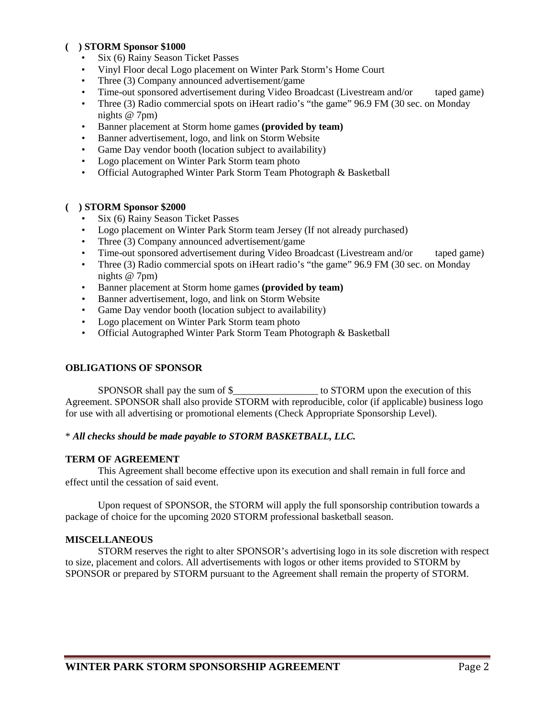## **( ) STORM Sponsor \$1000**

- Six (6) Rainy Season Ticket Passes
- Vinyl Floor decal Logo placement on Winter Park Storm's Home Court
- Three (3) Company announced advertisement/game
- Time-out sponsored advertisement during Video Broadcast (Livestream and/or taped game)
- Three (3) Radio commercial spots on iHeart radio's "the game" 96.9 FM (30 sec. on Monday nights @ 7pm)
- Banner placement at Storm home games **(provided by team)**
- Banner advertisement, logo, and link on Storm Website
- Game Day vendor booth (location subject to availability)
- Logo placement on Winter Park Storm team photo
- Official Autographed Winter Park Storm Team Photograph & Basketball

## **( ) STORM Sponsor \$2000**

- Six (6) Rainy Season Ticket Passes
- Logo placement on Winter Park Storm team Jersey (If not already purchased)
- Three (3) Company announced advertisement/game
- Time-out sponsored advertisement during Video Broadcast (Livestream and/or taped game)
- Three (3) Radio commercial spots on iHeart radio's "the game" 96.9 FM (30 sec. on Monday nights @ 7pm)
- Banner placement at Storm home games **(provided by team)**
- Banner advertisement, logo, and link on Storm Website
- Game Day vendor booth (location subject to availability)
- Logo placement on Winter Park Storm team photo
- Official Autographed Winter Park Storm Team Photograph & Basketball

## **OBLIGATIONS OF SPONSOR**

SPONSOR shall pay the sum of \$\_\_\_\_\_\_\_\_\_\_\_\_\_\_\_\_\_ to STORM upon the execution of this Agreement. SPONSOR shall also provide STORM with reproducible, color (if applicable) business logo for use with all advertising or promotional elements (Check Appropriate Sponsorship Level).

## \* *All checks should be made payable to STORM BASKETBALL, LLC.*

## **TERM OF AGREEMENT**

This Agreement shall become effective upon its execution and shall remain in full force and effect until the cessation of said event.

Upon request of SPONSOR, the STORM will apply the full sponsorship contribution towards a package of choice for the upcoming 2020 STORM professional basketball season.

## **MISCELLANEOUS**

STORM reserves the right to alter SPONSOR's advertising logo in its sole discretion with respect to size, placement and colors. All advertisements with logos or other items provided to STORM by SPONSOR or prepared by STORM pursuant to the Agreement shall remain the property of STORM.